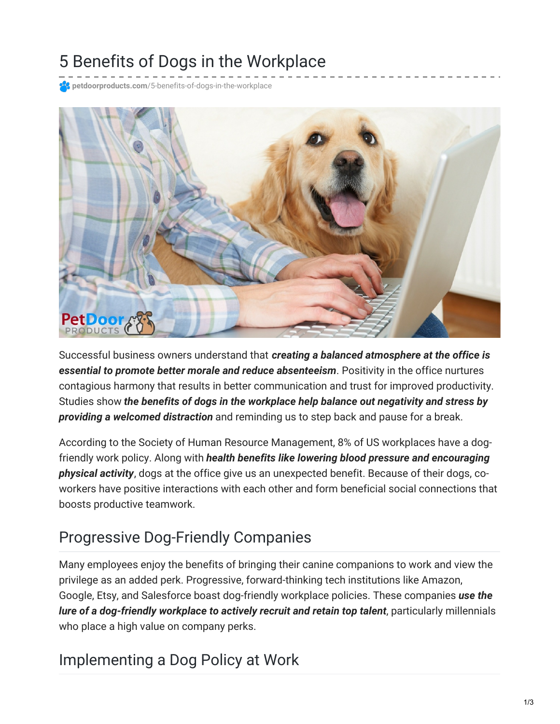# 5 Benefits of Dogs in the Workplace

**petdoorproducts.com**[/5-benefits-of-dogs-in-the-workplace](https://petdoorproducts.com/5-benefits-of-dogs-in-the-workplace/)



Successful business owners understand that *creating a balanced atmosphere at the office is essential to promote better morale and reduce absenteeism*. Positivity in the office nurtures contagious harmony that results in better communication and trust for improved productivity. Studies show *the benefits of dogs in the workplace help balance out negativity and stress by providing a welcomed distraction* and reminding us to step back and pause for a break.

According to the Society of Human Resource Management, 8% of US workplaces have a dogfriendly work policy. Along with *health benefits like lowering blood pressure and encouraging physical activity*, dogs at the office give us an unexpected benefit. Because of their dogs, coworkers have positive interactions with each other and form beneficial social connections that boosts productive teamwork.

### Progressive Dog-Friendly Companies

Many employees enjoy the benefits of bringing their canine companions to work and view the privilege as an added perk. Progressive, forward-thinking tech institutions like Amazon, Google, Etsy, and Salesforce boast dog-friendly workplace policies. These companies *use the lure of a dog-friendly workplace to actively recruit and retain top talent*, particularly millennials who place a high value on company perks.

#### Implementing a Dog Policy at Work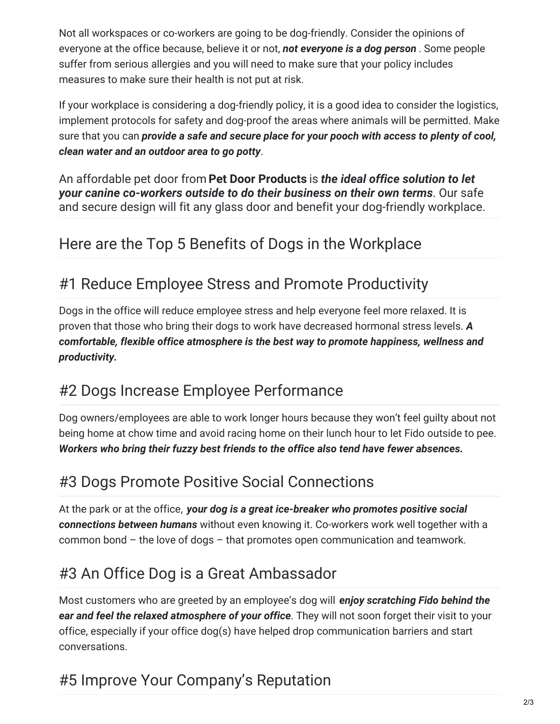Not all workspaces or co-workers are going to be dog-friendly. Consider the opinions of everyone at the office because, believe it or not, *not everyone is a dog person* . Some people suffer from serious allergies and you will need to make sure that your policy includes measures to make sure their health is not put at risk.

If your workplace is considering a dog-friendly policy, it is a good idea to consider the logistics, implement protocols for safety and dog-proof the areas where animals will be permitted. Make sure that you can *provide a safe and secure place for your pooch with access to plenty of cool, clean water and an outdoor area to go potty*.

An affordable pet door from **Pet Door [Products](https://petdoorproducts.com/how-it-works/)** is *the ideal office solution to let your canine co-workers outside to do their business on their own terms*. Our safe and secure design will fit any glass door and benefit your dog-friendly workplace.

## Here are the Top 5 Benefits of Dogs in the Workplace

### #1 Reduce Employee Stress and Promote Productivity

Dogs in the office will reduce employee stress and help everyone feel more relaxed. It is proven that those who bring their dogs to work have decreased hormonal stress levels. *A comfortable, flexible office atmosphere is the best way to promote happiness, wellness and productivity.*

#### #2 Dogs Increase Employee Performance

Dog owners/employees are able to work longer hours because they won't feel guilty about not being home at chow time and avoid racing home on their lunch hour to let Fido outside to pee. *Workers who bring their fuzzy best friends to the office also tend have fewer absences.*

#### #3 Dogs Promote Positive Social Connections

At the park or at the office, *your dog is a great ice-breaker who promotes positive social connections between humans* without even knowing it. Co-workers work well together with a common bond – the love of dogs – that promotes open communication and teamwork.

## #3 An Office Dog is a Great Ambassador

Most customers who are greeted by an employee's dog will *enjoy scratching Fido behind the ear and feel the relaxed atmosphere of your office*. They will not soon forget their visit to your office, especially if your office dog(s) have helped drop communication barriers and start conversations.

## #5 Improve Your Company's Reputation